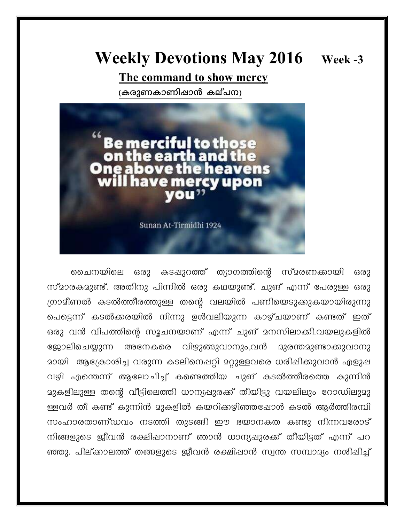## **Weekly Devotions May 2016**

Week -3

The command to show mercy

(കരുണകാണിഷാൻ കല്പന)



ചൈനയിലെ കടപ്പുറത്ത് ത്യാഗത്തിന്റെ സ്മരണക്കായി ഒരു ഒരു സ്മാരകമുണ്ട്. അതിനു പിന്നിൽ ഒരു കഥയുണ്ട്. ചുങ് എന്ന് പേരുള്ള ഒരു ഗ്രാമീണൽ കടൽത്തീരത്തുള്ള തന്റെ വലയിൽ പണിയെടുക്കുകയായിരുന്നു പെട്ടെന്ന് കടൽക്കരയിൽ നിന്നു ഉൾവലിയുന്ന കാഴ്ചയാണ് കണ്ടത് ഇത് ഒരു വൻ വിപത്തിന്റെ സൂചനയാണ് എന്ന് ചുങ് മനസിലാക്കി.വയലുകളിൽ അനേകരെ വിഴുങ്ങുവാനും,വൻ ദുരന്തമുണ്ടാക്കുവാനു ജോലിചെയ്യുന്ന മായി ആക്രോശിച്ച വരുന്ന കടലിനെപ്പറ്റി മറ്റുള്ളവരെ ധരിപ്പിക്കുവാൻ എളുപ്പ വഴി എന്തെന്ന് ആലോചിച്ച് കണ്ടെത്തിയ ചുങ് കടൽത്തീരത്തെ കുന്നിൻ മുകളിലുള്ള തന്റെ വീട്ടിലെത്തി ധാന്യപ്പുരക്ക് തീയിട്ടു വയലിലും റോഡിലുമു ള്ളവർ തീ കണ്ട് കുന്നിൻ മുകളിൽ കയറിക്കഴിഞ്ഞപ്പോൾ കടൽ ആർത്തിരമ്പി സംഹാരതാണ്ഡവം നടത്തി തുടങ്ങി ഈ ഭയാനകത കണ്ടു നിന്നവരോട് നിങ്ങളുടെ ജീവൻ രക്ഷിഷാനാണ് ഞാൻ ധാന്യഷുരക്ക് തീയിട്ടത് എന്ന് പറ ഞ്ഞു. പില്ക്കാലത്ത് തങ്ങളുടെ ജീവൻ രക്ഷിപ്പാൻ സ്വന്ത സമ്പാദ്യം നശിപ്പിച്ച്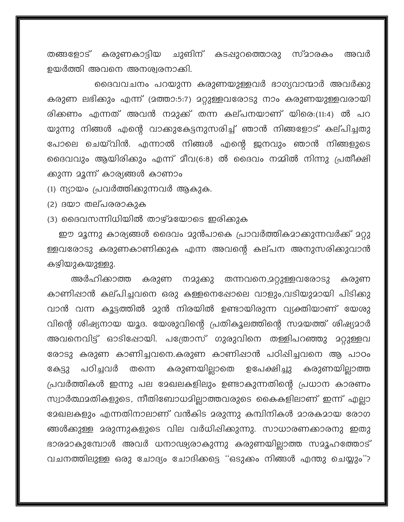ചുങിന് കടപ്പുറത്തൊരു സ്മാരകം തങ്ങളോട് കരുണകാട്ടിയ അവർ ഉയർത്തി അവനെ അനശ്വരനാക്കി.

ദൈവവചനം പറയുന്ന കരുണയുള്ളവർ ഭാഗ്യവാന്മാർ അവർക്കു കരുണ ലഭിക്കും എന്ന് (മത്താ:5:7) മറ്റുള്ളവരോടു നാം കരുണയുള്ളവരായി രിക്കണം എന്നത് അവൻ നമുക്ക് തന്ന കല്പനയാണ് യിരെ:(11:4) ൽ പറ യുന്നു നിങ്ങൾ എന്റെ വാക്കുകേട്ടനുസരിച്ച് ഞാൻ നിങ്ങളോട് കല്പിച്ചതു പോലെ ചെയ്വിൻ. എന്നാൽ നിങ്ങൾ എന്റെ ജനവും ഞാൻ നിങ്ങളുടെ ദൈവവും ആയിരിക്കും എന്ന് മീവ(6:8) ൽ ദൈവം നമ്മിൽ നിന്നു പ്രതീക്ഷി ക്കുന്ന മൂന്ന് കാര്യങ്ങൾ കാണാം

(1) ന്യായം പ്രവർത്തിക്കുന്നവർ ആകുക.

(2) ദയാ തല്പരരാകുക

(3) ദൈവസന്നിധിയിൽ താഴ്ചയോടെ ഇരിക്കുക

ഈ മൂന്നു കാര്യങ്ങൾ ദൈവം മുൻപാകെ പ്രാവർത്തികമാക്കുന്നവർക്ക് മറ്റു ള്ളവരോടു കരുണകാണിക്കുക എന്ന അവന്റെ കല്പന അനുസരിക്കുവാൻ കഴിയുകയുള്ളു.

അർഹിക്കാത്ത കരുണ നമുക്കു തന്നവനെ,മറ്റുള്ളവരോടു കരുണ കാണിഷാൻ കല്പിച്ചവനെ ഒരു കള്ളനെഷോലെ വാളും,വടിയുമായി പിടിക്കു വാൻ വന്ന കൂട്ടത്തിൽ മുൻ നിരയിൽ ഉണ്ടായിരുന്ന വ്യക്തിയാണ് യേശു വിന്റെ ശിഷ്യനായ യൂദ. യേശുവിന്റെ പ്രതികൂലത്തിന്റെ സമയത്ത് ശിഷ്യമാർ അവനെവിട്ട് ഓടിഷോയി. പത്രോസ് ഗുരുവിനെ തള്ളിപറഞ്ഞു മറ്റുള്ളവ രോടു കരുണ കാണിച്ചവനെ.കരുണ കാണിഷാൻ പഠിഷിച്ചവനെ ആ പാഠം പഠിച്ചവർ കരുണയില്ലാതെ കരുണയില്ലാത്ത ഉപേക്ഷിച്ചു കേട്ടു തന്നെ പ്രവർത്തികൾ ഇന്നു പല മേഖലകളിലും ഉണ്ടാകുന്നതിന്റെ പ്രധാന കാരണം സ്വാർത്ഥമതികളുടെ, നീതിബോധമില്ലാത്തവരുടെ കൈകളിലാണ് ഇന്ന് എല്ലാ ദേഖലകളും എന്നതിനാലാണ് വൻകിട മരുന്നു കമ്പിനികൾ മാരകമായ രോഗ ങ്ങൾക്കുള്ള മരുന്നുകളുടെ വില വർധിഷിക്കുന്നു. സാധാരണക്കാരനു ഇതു ഭാരമാകുമ്പോൾ അവർ ധനാഢ്യരാകുന്നു കരുണയില്ലാത്ത സമൂഹത്തോട് വചനത്തിലുള്ള ഒരു ചോദ്യം ചോദിക്കട്ടെ ''ഒടുക്കം നിങ്ങൾ എന്തു ചെയ്യും''?